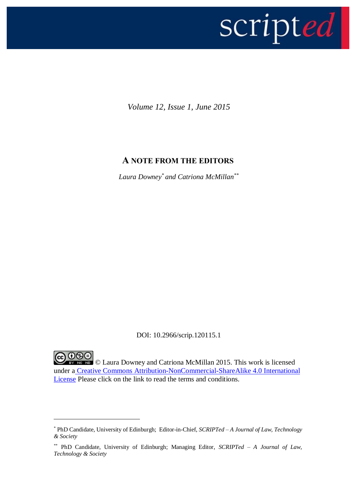

*Volume 12, Issue 1, June 2015*

## **A NOTE FROM THE EDITORS**

*Laura Downey\* and Catriona McMillan\*\**

DOI: 10.2966/scrip.120115.1

**COOO** I aura Downey and Catriona McMillan 2015. This work is licensed under a Creative Commons Attribution-NonCommercial-ShareAlike 4.0 International License Please click on the link to read the terms and conditions.

-

<sup>\*</sup> PhD Candidate, University of Edinburgh; Editor-in-Chief, *SCRIPTed – A Journal of Law, Technology & Society*

<sup>\*\*</sup> PhD Candidate, University of Edinburgh; Managing Editor, *SCRIPTed – A Journal of Law, Technology & Society*